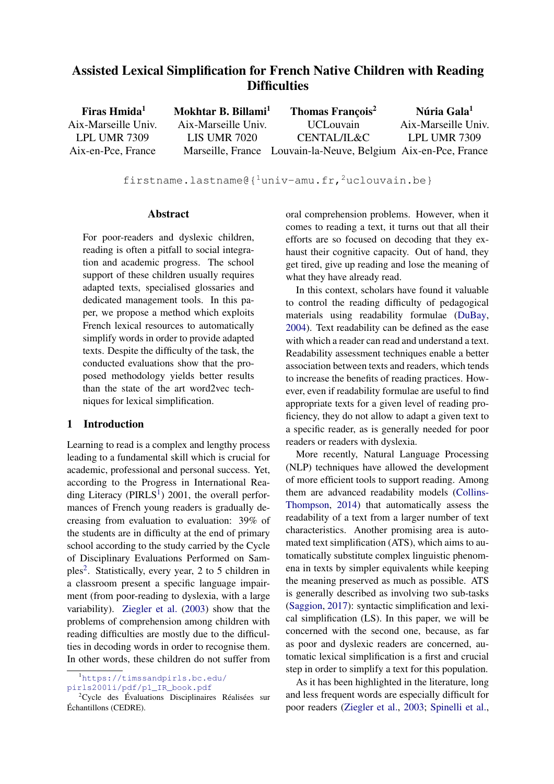# Assisted Lexical Simplification for French Native Children with Reading **Difficulties**

| Firas Hmida <sup>1</sup> | Mokhtar B. Billami <sup>1</sup> | <b>Thomas François<sup>2</sup></b>                             | Núria Gala <sup>1</sup> |
|--------------------------|---------------------------------|----------------------------------------------------------------|-------------------------|
| Aix-Marseille Univ.      | Aix-Marseille Univ.             | <b>UCL</b> ouvain                                              | Aix-Marseille Univ.     |
| LPL UMR 7309             | <b>LIS UMR 7020</b>             | CENTAL/IL&C                                                    | LPL UMR 7309            |
| Aix-en-Pce, France       |                                 | Marseille, France Louvain-la-Neuve, Belgium Aix-en-Pce, France |                         |

firstname.lastname@ ${1$ univ-amu.fr,<sup>2</sup>uclouvain.be}

#### Abstract

For poor-readers and dyslexic children, reading is often a pitfall to social integration and academic progress. The school support of these children usually requires adapted texts, specialised glossaries and dedicated management tools. In this paper, we propose a method which exploits French lexical resources to automatically simplify words in order to provide adapted texts. Despite the difficulty of the task, the conducted evaluations show that the proposed methodology yields better results than the state of the art word2vec techniques for lexical simplification.

## 1 Introduction

Learning to read is a complex and lengthy process leading to a fundamental skill which is crucial for academic, professional and personal success. Yet, according to the Progress in International Reading Literacy ( $PIRLS<sup>1</sup>$  $PIRLS<sup>1</sup>$  $PIRLS<sup>1</sup>$ ) 2001, the overall performances of French young readers is gradually decreasing from evaluation to evaluation: 39% of the students are in difficulty at the end of primary school according to the study carried by the Cycle of Disciplinary Evaluations Performed on Sam-ples<sup>[2](#page-0-1)</sup>. Statistically, every year, 2 to 5 children in a classroom present a specific language impairment (from poor-reading to dyslexia, with a large variability). [Ziegler et al.](#page-7-0) [\(2003\)](#page-7-0) show that the problems of comprehension among children with reading difficulties are mostly due to the difficulties in decoding words in order to recognise them. In other words, these children do not suffer from

[pirls2001i/pdf/p1\\_IR\\_book.pdf](https://timssandpirls.bc.edu/pirls2001i/pdf/p1_IR_book.pdf)

oral comprehension problems. However, when it comes to reading a text, it turns out that all their efforts are so focused on decoding that they exhaust their cognitive capacity. Out of hand, they get tired, give up reading and lose the meaning of what they have already read.

In this context, scholars have found it valuable to control the reading difficulty of pedagogical materials using readability formulae [\(DuBay,](#page-6-0) [2004\)](#page-6-0). Text readability can be defined as the ease with which a reader can read and understand a text. Readability assessment techniques enable a better association between texts and readers, which tends to increase the benefits of reading practices. However, even if readability formulae are useful to find appropriate texts for a given level of reading proficiency, they do not allow to adapt a given text to a specific reader, as is generally needed for poor readers or readers with dyslexia.

More recently, Natural Language Processing (NLP) techniques have allowed the development of more efficient tools to support reading. Among them are advanced readability models [\(Collins-](#page-6-1)[Thompson,](#page-6-1) [2014\)](#page-6-1) that automatically assess the readability of a text from a larger number of text characteristics. Another promising area is automated text simplification (ATS), which aims to automatically substitute complex linguistic phenomena in texts by simpler equivalents while keeping the meaning preserved as much as possible. ATS is generally described as involving two sub-tasks [\(Saggion,](#page-7-1) [2017\)](#page-7-1): syntactic simplification and lexical simplification (LS). In this paper, we will be concerned with the second one, because, as far as poor and dyslexic readers are concerned, automatic lexical simplification is a first and crucial step in order to simplify a text for this population.

As it has been highlighted in the literature, long and less frequent words are especially difficult for poor readers [\(Ziegler et al.,](#page-7-0) [2003;](#page-7-0) [Spinelli et al.,](#page-7-2)

<span id="page-0-0"></span><sup>1</sup>[https://timssandpirls.bc.edu/](https://timssandpirls.bc.edu/pirls2001i/pdf/p1_IR_book.pdf)

<span id="page-0-1"></span><sup>&</sup>lt;sup>2</sup>Cycle des Évaluations Disciplinaires Réalisées sur Échantillons (CEDRE).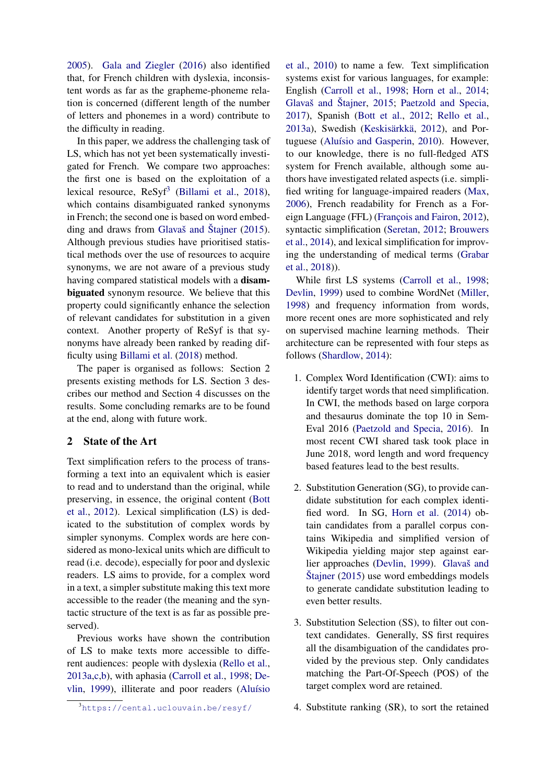[2005\)](#page-7-2). [Gala and Ziegler](#page-6-2) [\(2016\)](#page-6-2) also identified that, for French children with dyslexia, inconsistent words as far as the grapheme-phoneme relation is concerned (different length of the number of letters and phonemes in a word) contribute to the difficulty in reading.

In this paper, we address the challenging task of LS, which has not yet been systematically investigated for French. We compare two approaches: the first one is based on the exploitation of a lexical resource,  $Resyf^3$  $Resyf^3$  [\(Billami et al.,](#page-6-3) [2018\)](#page-6-3), which contains disambiguated ranked synonyms in French; the second one is based on word embedding and draws from [Glavaš and Štajner](#page-6-4) [\(2015\)](#page-6-4). Although previous studies have prioritised statistical methods over the use of resources to acquire synonyms, we are not aware of a previous study having compared statistical models with a disambiguated synonym resource. We believe that this property could significantly enhance the selection of relevant candidates for substitution in a given context. Another property of ReSyf is that synonyms have already been ranked by reading difficulty using [Billami et al.](#page-6-3) [\(2018\)](#page-6-3) method.

The paper is organised as follows: Section 2 presents existing methods for LS. Section 3 describes our method and Section 4 discusses on the results. Some concluding remarks are to be found at the end, along with future work.

## 2 State of the Art

Text simplification refers to the process of transforming a text into an equivalent which is easier to read and to understand than the original, while preserving, in essence, the original content [\(Bott](#page-6-5) [et al.,](#page-6-5) [2012\)](#page-6-5). Lexical simplification (LS) is dedicated to the substitution of complex words by simpler synonyms. Complex words are here considered as mono-lexical units which are difficult to read (i.e. decode), especially for poor and dyslexic readers. LS aims to provide, for a complex word in a text, a simpler substitute making this text more accessible to the reader (the meaning and the syntactic structure of the text is as far as possible preserved).

Previous works have shown the contribution of LS to make texts more accessible to different audiences: people with dyslexia [\(Rello et al.,](#page-7-3) [2013a](#page-7-3)[,c](#page-7-4)[,b\)](#page-7-5), with aphasia [\(Carroll et al.,](#page-6-6) [1998;](#page-6-6) [De](#page-6-7)[vlin,](#page-6-7) [1999\)](#page-6-7), illiterate and poor readers [\(Aluísio](#page-6-8)

While first LS systems [\(Carroll et al.,](#page-6-6) [1998;](#page-6-6) [Devlin,](#page-6-7) [1999\)](#page-6-7) used to combine WordNet [\(Miller,](#page-7-9) [1998\)](#page-7-9) and frequency information from words, more recent ones are more sophisticated and rely on supervised machine learning methods. Their architecture can be represented with four steps as follows [\(Shardlow,](#page-7-10) [2014\)](#page-7-10):

- 1. Complex Word Identification (CWI): aims to identify target words that need simplification. In CWI, the methods based on large corpora and thesaurus dominate the top 10 in Sem-Eval 2016 [\(Paetzold and Specia,](#page-7-11) [2016\)](#page-7-11). In most recent CWI shared task took place in June 2018, word length and word frequency based features lead to the best results.
- 2. Substitution Generation (SG), to provide candidate substitution for each complex identified word. In SG, [Horn et al.](#page-6-9) [\(2014\)](#page-6-9) obtain candidates from a parallel corpus contains Wikipedia and simplified version of Wikipedia yielding major step against earlier approaches [\(Devlin,](#page-6-7) [1999\)](#page-6-7). [Glavaš and](#page-6-4) [Štajner](#page-6-4) [\(2015\)](#page-6-4) use word embeddings models to generate candidate substitution leading to even better results.
- 3. Substitution Selection (SS), to filter out context candidates. Generally, SS first requires all the disambiguation of the candidates provided by the previous step. Only candidates matching the Part-Of-Speech (POS) of the target complex word are retained.

4. Substitute ranking (SR), to sort the retained

[et al.,](#page-6-8) [2010\)](#page-6-8) to name a few. Text simplification systems exist for various languages, for example: English [\(Carroll et al.,](#page-6-6) [1998;](#page-6-6) [Horn et al.,](#page-6-9) [2014;](#page-6-9) [Glavaš and Štajner,](#page-6-4) [2015;](#page-6-4) [Paetzold and Specia,](#page-7-6) [2017\)](#page-7-6), Spanish [\(Bott et al.,](#page-6-5) [2012;](#page-6-5) [Rello et al.,](#page-7-3) [2013a\)](#page-7-3), Swedish [\(Keskisärkkä,](#page-6-10) [2012\)](#page-6-10), and Portuguese [\(Aluísio and Gasperin,](#page-6-11) [2010\)](#page-6-11). However, to our knowledge, there is no full-fledged ATS system for French available, although some authors have investigated related aspects (i.e. simplified writing for language-impaired readers [\(Max,](#page-7-7) [2006\)](#page-7-7), French readability for French as a Foreign Language (FFL) [\(François and Fairon,](#page-6-12) [2012\)](#page-6-12), syntactic simplification [\(Seretan,](#page-7-8) [2012;](#page-7-8) [Brouwers](#page-6-13) [et al.,](#page-6-13) [2014\)](#page-6-13), and lexical simplification for improving the understanding of medical terms [\(Grabar](#page-6-14) [et al.,](#page-6-14) [2018\)](#page-6-14)).

<span id="page-1-0"></span><sup>3</sup>[https://cental.uclouvain.be/resyf/](#page-6-8)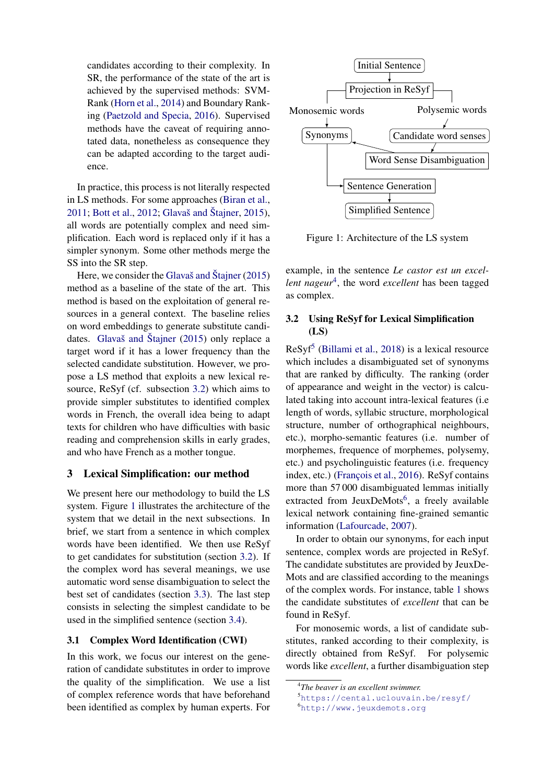candidates according to their complexity. In SR, the performance of the state of the art is achieved by the supervised methods: SVM-Rank [\(Horn et al.,](#page-6-9) [2014\)](#page-6-9) and Boundary Ranking [\(Paetzold and Specia,](#page-7-11) [2016\)](#page-7-11). Supervised methods have the caveat of requiring annotated data, nonetheless as consequence they can be adapted according to the target audience.

In practice, this process is not literally respected in LS methods. For some approaches [\(Biran et al.,](#page-6-15) [2011;](#page-6-15) [Bott et al.,](#page-6-5) [2012;](#page-6-5) [Glavaš and Štajner,](#page-6-4) [2015\)](#page-6-4), all words are potentially complex and need simplification. Each word is replaced only if it has a simpler synonym. Some other methods merge the SS into the SR step.

Here, we consider the [Glavaš and Štajner](#page-6-4) [\(2015\)](#page-6-4) method as a baseline of the state of the art. This method is based on the exploitation of general resources in a general context. The baseline relies on word embeddings to generate substitute candidates. [Glavaš and Štajner](#page-6-4) [\(2015\)](#page-6-4) only replace a target word if it has a lower frequency than the selected candidate substitution. However, we propose a LS method that exploits a new lexical resource, ReSyf (cf. subsection [3.2\)](#page-2-0) which aims to provide simpler substitutes to identified complex words in French, the overall idea being to adapt texts for children who have difficulties with basic reading and comprehension skills in early grades, and who have French as a mother tongue.

## 3 Lexical Simplification: our method

We present here our methodology to build the LS system. Figure [1](#page-2-1) illustrates the architecture of the system that we detail in the next subsections. In brief, we start from a sentence in which complex words have been identified. We then use ReSyf to get candidates for substitution (section [3.2\)](#page-2-0). If the complex word has several meanings, we use automatic word sense disambiguation to select the best set of candidates (section [3.3\)](#page-3-0). The last step consists in selecting the simplest candidate to be used in the simplified sentence (section [3.4\)](#page-4-0).

### 3.1 Complex Word Identification (CWI)

In this work, we focus our interest on the generation of candidate substitutes in order to improve the quality of the simplification. We use a list of complex reference words that have beforehand been identified as complex by human experts. For



<span id="page-2-1"></span>Figure 1: Architecture of the LS system

example, in the sentence *Le castor est un excel-*lent nageur<sup>[4](#page-2-2)</sup>, the word excellent has been tagged as complex.

### <span id="page-2-0"></span>3.2 Using ReSyf for Lexical Simplification (LS)

ReSyf<sup>[5](#page-2-3)</sup> [\(Billami et al.,](#page-6-3) [2018\)](#page-6-3) is a lexical resource which includes a disambiguated set of synonyms that are ranked by difficulty. The ranking (order of appearance and weight in the vector) is calculated taking into account intra-lexical features (i.e length of words, syllabic structure, morphological structure, number of orthographical neighbours, etc.), morpho-semantic features (i.e. number of morphemes, frequence of morphemes, polysemy, etc.) and psycholinguistic features (i.e. frequency index, etc.) [\(François et al.,](#page-6-16) [2016\)](#page-6-16). ReSyf contains more than 57 000 disambiguated lemmas initially extracted from JeuxDeMots<sup>[6](#page-2-4)</sup>, a freely available lexical network containing fine-grained semantic information [\(Lafourcade,](#page-7-12) [2007\)](#page-7-12).

In order to obtain our synonyms, for each input sentence, complex words are projected in ReSyf. The candidate substitutes are provided by JeuxDe-Mots and are classified according to the meanings of the complex words. For instance, table [1](#page-3-1) shows the candidate substitutes of *excellent* that can be found in ReSyf.

For monosemic words, a list of candidate substitutes, ranked according to their complexity, is directly obtained from ReSyf. For polysemic words like *excellent*, a further disambiguation step

<span id="page-2-2"></span><sup>4</sup> *The beaver is an excellent swimmer.*

<span id="page-2-3"></span><sup>5</sup><https://cental.uclouvain.be/resyf/> <sup>6</sup><http://www.jeuxdemots.org>

<span id="page-2-4"></span>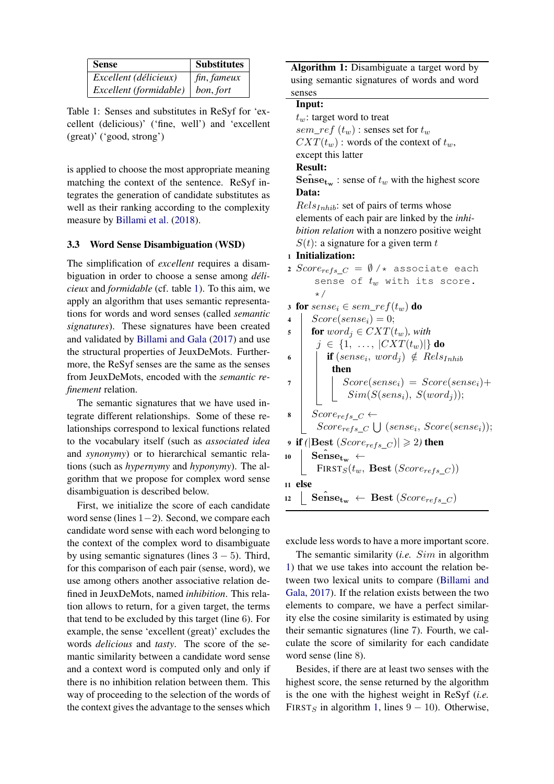| <b>Sense</b>           | <b>Substitutes</b> |
|------------------------|--------------------|
| Excellent (délicieux)  | $\int$ fin, fameux |
| Excellent (formidable) | $\mid$ bon, fort   |

<span id="page-3-1"></span>Table 1: Senses and substitutes in ReSyf for 'excellent (delicious)' ('fine, well') and 'excellent (great)' ('good, strong')

is applied to choose the most appropriate meaning matching the context of the sentence. ReSyf integrates the generation of candidate substitutes as well as their ranking according to the complexity measure by [Billami et al.](#page-6-3) [\(2018\)](#page-6-3).

#### <span id="page-3-0"></span>3.3 Word Sense Disambiguation (WSD)

The simplification of *excellent* requires a disambiguation in order to choose a sense among *délicieux* and *formidable* (cf. table [1\)](#page-3-1). To this aim, we apply an algorithm that uses semantic representations for words and word senses (called *semantic signatures*). These signatures have been created and validated by [Billami and Gala](#page-6-17) [\(2017\)](#page-6-17) and use the structural properties of JeuxDeMots. Furthermore, the ReSyf senses are the same as the senses from JeuxDeMots, encoded with the *semantic refinement* relation.

The semantic signatures that we have used integrate different relationships. Some of these relationships correspond to lexical functions related to the vocabulary itself (such as *associated idea* and *synonymy*) or to hierarchical semantic relations (such as *hypernymy* and *hyponymy*). The algorithm that we propose for complex word sense disambiguation is described below.

First, we initialize the score of each candidate word sense (lines 1−2). Second, we compare each candidate word sense with each word belonging to the context of the complex word to disambiguate by using semantic signatures (lines  $3 - 5$ ). Third, for this comparison of each pair (sense, word), we use among others another associative relation defined in JeuxDeMots, named *inhibition*. This relation allows to return, for a given target, the terms that tend to be excluded by this target (line 6). For example, the sense 'excellent (great)' excludes the words *delicious* and *tasty*. The score of the semantic similarity between a candidate word sense and a context word is computed only and only if there is no inhibition relation between them. This way of proceeding to the selection of the words of the context gives the advantage to the senses which

Algorithm 1: Disambiguate a target word by using semantic signatures of words and word senses

#### <span id="page-3-2"></span>Input:

 $t_w$ : target word to treat sem\_ref  $(t_w)$  : senses set for  $t_w$  $CXT(t_w)$ : words of the context of  $t_w$ , except this latter

## Result:

**Sense<sub>tw</sub>**: sense of  $t_w$  with the highest score Data:

 $Rels<sub>Inhib</sub>$ : set of pairs of terms whose elements of each pair are linked by the *inhibition relation* with a nonzero positive weight  $S(t)$ : a signature for a given term t

#### <sup>1</sup> Initialization:

- 2 Score<sub>refs</sub>  $C = \emptyset$  /\* associate each sense of  $t_w$  with its score. \*/
- 3 for  $sense_i \in sem\_ref(t_w)$  do
- 4 |  $Score(sense_i) = 0;$

$$
\text{for } word_j \in CXT(t_w), \text{ with}
$$

- $j \in \{1, \ldots, |CXT(t_w)|\}$  do
- $\begin{array}{c} \mathbf{6} \mid \quad | \quad \mathbf{if} \ (sense_i, \ word_j) \ \notin \ Rels_{Inhit} \end{array}$ then  $7 \mid \mid \cdot \mid$  Score(sense<sub>i</sub>) = Score(sense<sub>i</sub>)+
	- $\vert$  Sim( $S(sens_i), S(word_j));$
- $\vert$  Score<sub>refs</sub>  $\subset$  ←  $Score_{refs}\_\mathcal{C} \bigcup (sense_i, Score(sense_i));$
- **9** if ( $|\text{Best } (Score_{refs} C)| \geq 2$ ) then  $10$  Sense<sub>tw</sub> ←
- FIRST<sub>S</sub> $(t_w,$  Best (Score<sub>refs</sub> c)) <sup>11</sup> else
- $\begin{aligned} \texttt{12} \ \ \textcolor{red}{\big\lfloor} \ \ \textbf{Sense}_{\textbf{tw}} \ \leftarrow \ \ \textbf{Best} \ (Score_{refs}\_C) \end{aligned}$

exclude less words to have a more important score.

The semantic similarity (*i.e.* Sim in algorithm [1\)](#page-3-2) that we use takes into account the relation between two lexical units to compare [\(Billami and](#page-6-17) [Gala,](#page-6-17) [2017\)](#page-6-17). If the relation exists between the two elements to compare, we have a perfect similarity else the cosine similarity is estimated by using their semantic signatures (line 7). Fourth, we calculate the score of similarity for each candidate word sense (line 8).

Besides, if there are at least two senses with the highest score, the sense returned by the algorithm is the one with the highest weight in ReSyf (*i.e.* FIRST<sub>S</sub> in algorithm [1,](#page-3-2) lines  $9 - 10$ ). Otherwise,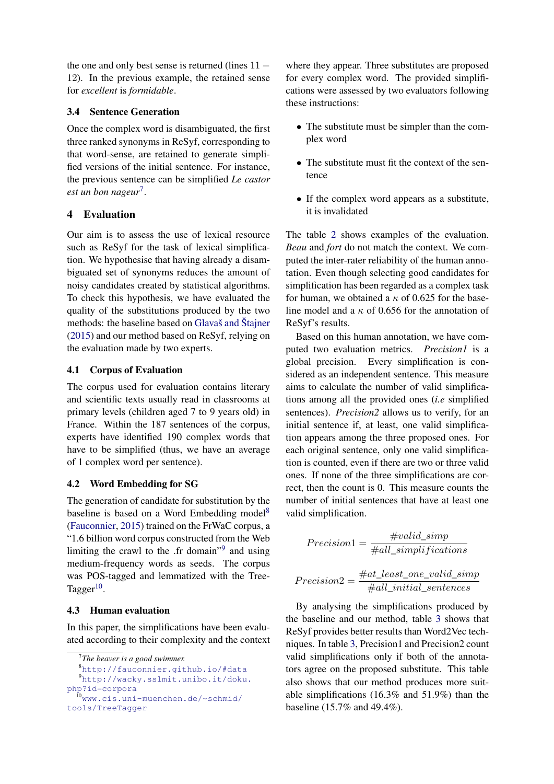the one and only best sense is returned (lines  $11 -$ 12). In the previous example, the retained sense for *excellent* is *formidable*.

## <span id="page-4-0"></span>3.4 Sentence Generation

Once the complex word is disambiguated, the first three ranked synonyms in ReSyf, corresponding to that word-sense, are retained to generate simplified versions of the initial sentence. For instance, the previous sentence can be simplified *Le castor est un bon nageur*[7](#page-4-1) .

## 4 Evaluation

Our aim is to assess the use of lexical resource such as ReSyf for the task of lexical simplification. We hypothesise that having already a disambiguated set of synonyms reduces the amount of noisy candidates created by statistical algorithms. To check this hypothesis, we have evaluated the quality of the substitutions produced by the two methods: the baseline based on [Glavaš and Štajner](#page-6-4) [\(2015\)](#page-6-4) and our method based on ReSyf, relying on the evaluation made by two experts.

## 4.1 Corpus of Evaluation

The corpus used for evaluation contains literary and scientific texts usually read in classrooms at primary levels (children aged 7 to 9 years old) in France. Within the 187 sentences of the corpus, experts have identified 190 complex words that have to be simplified (thus, we have an average of 1 complex word per sentence).

## 4.2 Word Embedding for SG

The generation of candidate for substitution by the baseline is based on a Word Embedding model<sup>[8](#page-4-2)</sup> [\(Fauconnier,](#page-6-18) [2015\)](#page-6-18) trained on the FrWaC corpus, a "1.6 billion word corpus constructed from the Web limiting the crawl to the .fr domain"<sup>[9](#page-4-3)</sup> and using medium-frequency words as seeds. The corpus was POS-tagged and lemmatized with the Tree-Tagger $^{10}$  $^{10}$  $^{10}$ .

## 4.3 Human evaluation

In this paper, the simplifications have been evaluated according to their complexity and the context

where they appear. Three substitutes are proposed for every complex word. The provided simplifications were assessed by two evaluators following these instructions:

- The substitute must be simpler than the complex word
- The substitute must fit the context of the sentence
- If the complex word appears as a substitute, it is invalidated

The table [2](#page-5-0) shows examples of the evaluation. *Beau* and *fort* do not match the context. We computed the inter-rater reliability of the human annotation. Even though selecting good candidates for simplification has been regarded as a complex task for human, we obtained a  $\kappa$  of 0.625 for the baseline model and a  $\kappa$  of 0.656 for the annotation of ReSyf's results.

Based on this human annotation, we have computed two evaluation metrics. *Precision1* is a global precision. Every simplification is considered as an independent sentence. This measure aims to calculate the number of valid simplifications among all the provided ones (*i.e* simplified sentences). *Precision2* allows us to verify, for an initial sentence if, at least, one valid simplification appears among the three proposed ones. For each original sentence, only one valid simplification is counted, even if there are two or three valid ones. If none of the three simplifications are correct, then the count is 0. This measure counts the number of initial sentences that have at least one valid simplification.

$$
Precision1 = \frac{\#valid\_simp}{\#all\_simpliifications}
$$

$$
Precision2 = \frac{\#at\_least\_one\_valid\_simp}{\#all\_initial\_sentences}
$$

By analysing the simplifications produced by the baseline and our method, table [3](#page-5-1) shows that ReSyf provides better results than Word2Vec techniques. In table [3,](#page-5-1) Precision1 and Precision2 count valid simplifications only if both of the annotators agree on the proposed substitute. This table also shows that our method produces more suitable simplifications (16.3% and 51.9%) than the baseline (15.7% and 49.4%).

<span id="page-4-2"></span><span id="page-4-1"></span><sup>7</sup> *The beaver is a good swimmer.*

<span id="page-4-3"></span><sup>8</sup><http://fauconnier.github.io/#data> <sup>9</sup>[http://wacky.sslmit.unibo.it/doku.](http://wacky.sslmit.unibo.it/doku.php?id=corpora) [php?id=corpora](http://wacky.sslmit.unibo.it/doku.php?id=corpora)  $^{10}$ [www.cis.uni-muenchen.de/~schmid/](www.cis.uni-muenchen.de/~schmid/tools/TreeTagger)

<span id="page-4-4"></span>[tools/TreeTagger](www.cis.uni-muenchen.de/~schmid/tools/TreeTagger)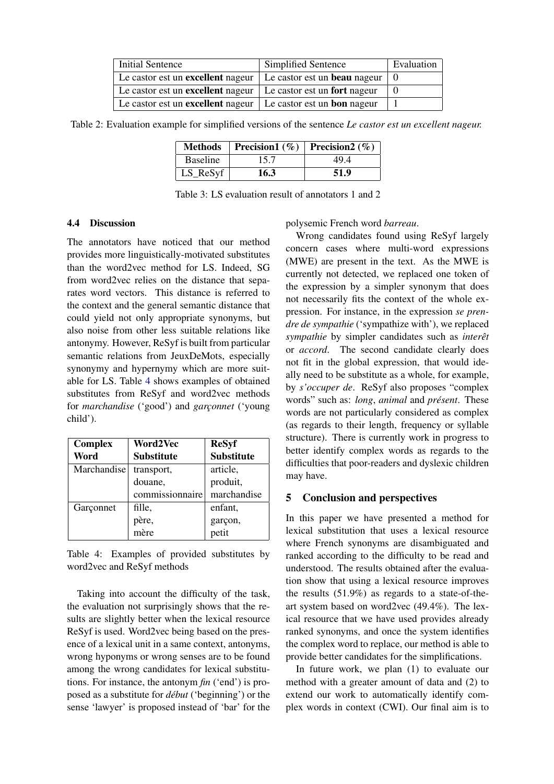| <b>Initial Sentence</b>                                                | Simplified Sentence | Evaluation |
|------------------------------------------------------------------------|---------------------|------------|
| Le castor est un excellent nageur $\vert$ Le castor est un beau nageur |                     |            |
| Le castor est un excellent nageur $\vert$ Le castor est un fort nageur |                     |            |
| Le castor est un excellent nageur $\vert$ Le castor est un bon nageur  |                     |            |

<span id="page-5-0"></span>Table 2: Evaluation example for simplified versions of the sentence *Le castor est un excellent nageur.*

| <b>Methods</b>  | <b>Precision1</b> (%) <b>Precision2</b> (%) |      |
|-----------------|---------------------------------------------|------|
| <b>Baseline</b> | 15.7                                        | 494  |
| LS_ReSyf        | 16.3                                        | 51.9 |

<span id="page-5-1"></span>Table 3: LS evaluation result of annotators 1 and 2

#### 4.4 Discussion

The annotators have noticed that our method provides more linguistically-motivated substitutes than the word2vec method for LS. Indeed, SG from word2vec relies on the distance that separates word vectors. This distance is referred to the context and the general semantic distance that could yield not only appropriate synonyms, but also noise from other less suitable relations like antonymy. However, ReSyf is built from particular semantic relations from JeuxDeMots, especially synonymy and hypernymy which are more suitable for LS. Table [4](#page-5-2) shows examples of obtained substitutes from ReSyf and word2vec methods for *marchandise* ('good') and *garçonnet* ('young child').

| <b>Complex</b> | Word2Vec          | <b>ReSyf</b>         |
|----------------|-------------------|----------------------|
| Word           | <b>Substitute</b> | <b>Substitute</b>    |
| Marchandise    | transport,        | article,             |
|                | douane,           | produit,             |
|                | commissionnaire   | marchandise          |
| Garçonnet      | fille,            | enfant,              |
|                | père,<br>mère     | garçon,              |
|                |                   | $\frac{1}{\text{2}}$ |

<span id="page-5-2"></span>Table 4: Examples of provided substitutes by word2vec and ReSyf methods

Taking into account the difficulty of the task, the evaluation not surprisingly shows that the results are slightly better when the lexical resource ReSyf is used. Word2vec being based on the presence of a lexical unit in a same context, antonyms, wrong hyponyms or wrong senses are to be found among the wrong candidates for lexical substitutions. For instance, the antonym *fin* ('end') is proposed as a substitute for *début* ('beginning') or the sense 'lawyer' is proposed instead of 'bar' for the polysemic French word *barreau*.

Wrong candidates found using ReSyf largely concern cases where multi-word expressions (MWE) are present in the text. As the MWE is currently not detected, we replaced one token of the expression by a simpler synonym that does not necessarily fits the context of the whole expression. For instance, in the expression *se prendre de sympathie* ('sympathize with'), we replaced *sympathie* by simpler candidates such as *interêt* or *accord*. The second candidate clearly does not fit in the global expression, that would ideally need to be substitute as a whole, for example, by *s'occuper de*. ReSyf also proposes "complex words" such as: *long*, *animal* and *présent*. These words are not particularly considered as complex (as regards to their length, frequency or syllable structure). There is currently work in progress to better identify complex words as regards to the difficulties that poor-readers and dyslexic children may have.

## 5 Conclusion and perspectives

In this paper we have presented a method for lexical substitution that uses a lexical resource where French synonyms are disambiguated and ranked according to the difficulty to be read and understood. The results obtained after the evaluation show that using a lexical resource improves the results (51.9%) as regards to a state-of-theart system based on word2vec (49.4%). The lexical resource that we have used provides already ranked synonyms, and once the system identifies the complex word to replace, our method is able to provide better candidates for the simplifications.

In future work, we plan (1) to evaluate our method with a greater amount of data and (2) to extend our work to automatically identify complex words in context (CWI). Our final aim is to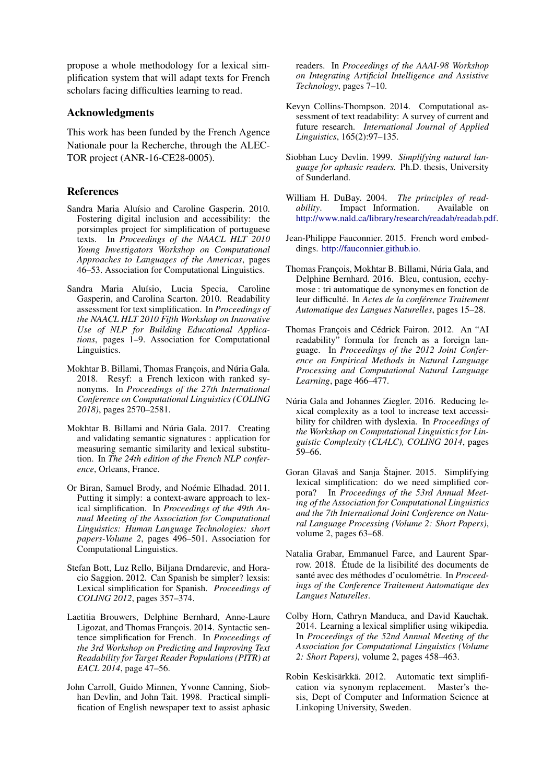propose a whole methodology for a lexical simplification system that will adapt texts for French scholars facing difficulties learning to read.

#### Acknowledgments

This work has been funded by the French Agence Nationale pour la Recherche, through the ALEC-TOR project (ANR-16-CE28-0005).

## References

- <span id="page-6-11"></span>Sandra Maria Aluísio and Caroline Gasperin. 2010. Fostering digital inclusion and accessibility: the porsimples project for simplification of portuguese texts. In *Proceedings of the NAACL HLT 2010 Young Investigators Workshop on Computational Approaches to Languages of the Americas*, pages 46–53. Association for Computational Linguistics.
- <span id="page-6-8"></span>Sandra Maria Aluísio, Lucia Specia, Caroline Gasperin, and Carolina Scarton. 2010. Readability assessment for text simplification. In *Proceedings of the NAACL HLT 2010 Fifth Workshop on Innovative Use of NLP for Building Educational Applications*, pages 1–9. Association for Computational Linguistics.
- <span id="page-6-3"></span>Mokhtar B. Billami, Thomas François, and Núria Gala. 2018. Resyf: a French lexicon with ranked synonyms. In *Proceedings of the 27th International Conference on Computational Linguistics (COLING 2018)*, pages 2570–2581.
- <span id="page-6-17"></span>Mokhtar B. Billami and Núria Gala. 2017. Creating and validating semantic signatures : application for measuring semantic similarity and lexical substitution. In *The 24th edition of the French NLP conference*, Orleans, France.
- <span id="page-6-15"></span>Or Biran, Samuel Brody, and Noémie Elhadad. 2011. Putting it simply: a context-aware approach to lexical simplification. In *Proceedings of the 49th Annual Meeting of the Association for Computational Linguistics: Human Language Technologies: short papers-Volume 2*, pages 496–501. Association for Computational Linguistics.
- <span id="page-6-5"></span>Stefan Bott, Luz Rello, Biljana Drndarevic, and Horacio Saggion. 2012. Can Spanish be simpler? lexsis: Lexical simplification for Spanish. *Proceedings of COLING 2012*, pages 357–374.
- <span id="page-6-13"></span>Laetitia Brouwers, Delphine Bernhard, Anne-Laure Ligozat, and Thomas François. 2014. Syntactic sentence simplification for French. In *Proceedings of the 3rd Workshop on Predicting and Improving Text Readability for Target Reader Populations (PITR) at EACL 2014*, page 47–56.
- <span id="page-6-6"></span>John Carroll, Guido Minnen, Yvonne Canning, Siobhan Devlin, and John Tait. 1998. Practical simplification of English newspaper text to assist aphasic

readers. In *Proceedings of the AAAI-98 Workshop on Integrating Artificial Intelligence and Assistive Technology*, pages 7–10.

- <span id="page-6-1"></span>Kevyn Collins-Thompson. 2014. Computational assessment of text readability: A survey of current and future research. *International Journal of Applied Linguistics*, 165(2):97–135.
- <span id="page-6-7"></span>Siobhan Lucy Devlin. 1999. *Simplifying natural language for aphasic readers.* Ph.D. thesis, University of Sunderland.
- <span id="page-6-0"></span>William H. DuBay. 2004. *The principles of readability*. Impact Information. Available on [http://www.nald.ca/library/research/readab/readab.pdf.](http://www.nald.ca/library/research/readab/readab.pdf)
- <span id="page-6-18"></span>Jean-Philippe Fauconnier. 2015. French word embeddings. [http://fauconnier.github.io.](http://fauconnier.github.io)
- <span id="page-6-16"></span>Thomas François, Mokhtar B. Billami, Núria Gala, and Delphine Bernhard. 2016. Bleu, contusion, ecchymose : tri automatique de synonymes en fonction de leur difficulté. In *Actes de la conférence Traitement Automatique des Langues Naturelles*, pages 15–28.
- <span id="page-6-12"></span>Thomas François and Cédrick Fairon. 2012. An "AI readability" formula for french as a foreign language. In *Proceedings of the 2012 Joint Conference on Empirical Methods in Natural Language Processing and Computational Natural Language Learning*, page 466–477.
- <span id="page-6-2"></span>Núria Gala and Johannes Ziegler. 2016. Reducing lexical complexity as a tool to increase text accessibility for children with dyslexia. In *Proceedings of the Workshop on Computational Linguistics for Linguistic Complexity (CL4LC), COLING 2014*, pages 59–66.
- <span id="page-6-4"></span>Goran Glavaš and Sanja Štajner. 2015. Simplifying lexical simplification: do we need simplified corpora? In *Proceedings of the 53rd Annual Meeting of the Association for Computational Linguistics and the 7th International Joint Conference on Natural Language Processing (Volume 2: Short Papers)*, volume 2, pages 63–68.
- <span id="page-6-14"></span>Natalia Grabar, Emmanuel Farce, and Laurent Sparrow. 2018. Étude de la lisibilité des documents de santé avec des méthodes d'oculométrie. In *Proceedings of the Conference Traitement Automatique des Langues Naturelles*.
- <span id="page-6-9"></span>Colby Horn, Cathryn Manduca, and David Kauchak. 2014. Learning a lexical simplifier using wikipedia. In *Proceedings of the 52nd Annual Meeting of the Association for Computational Linguistics (Volume 2: Short Papers)*, volume 2, pages 458–463.
- <span id="page-6-10"></span>Robin Keskisärkkä. 2012. Automatic text simplification via synonym replacement. Master's thesis, Dept of Computer and Information Science at Linkoping University, Sweden.